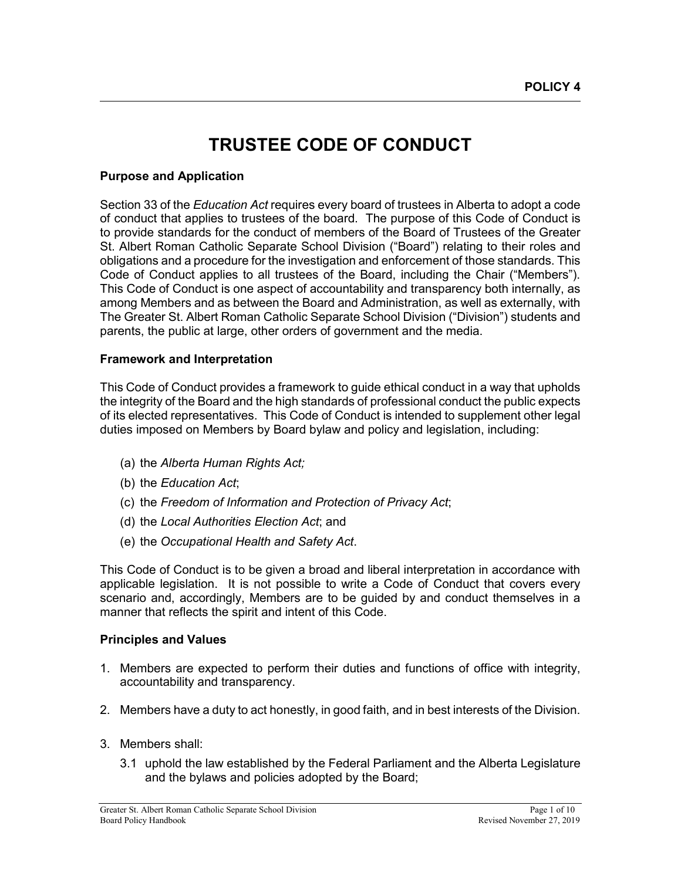# **TRUSTEE CODE OF CONDUCT**

#### **Purpose and Application**

Section 33 of the *Education Act* requires every board of trustees in Alberta to adopt a code of conduct that applies to trustees of the board. The purpose of this Code of Conduct is to provide standards for the conduct of members of the Board of Trustees of the Greater St. Albert Roman Catholic Separate School Division ("Board") relating to their roles and obligations and a procedure for the investigation and enforcement of those standards. This Code of Conduct applies to all trustees of the Board, including the Chair ("Members"). This Code of Conduct is one aspect of accountability and transparency both internally, as among Members and as between the Board and Administration, as well as externally, with The Greater St. Albert Roman Catholic Separate School Division ("Division") students and parents, the public at large, other orders of government and the media.

#### **Framework and Interpretation**

This Code of Conduct provides a framework to guide ethical conduct in a way that upholds the integrity of the Board and the high standards of professional conduct the public expects of its elected representatives. This Code of Conduct is intended to supplement other legal duties imposed on Members by Board bylaw and policy and legislation, including:

- (a) the *Alberta Human Rights Act;*
- (b) the *Education Act*;
- (c) the *Freedom of Information and Protection of Privacy Act*;
- (d) the *Local Authorities Election Act*; and
- (e) the *Occupational Health and Safety Act*.

This Code of Conduct is to be given a broad and liberal interpretation in accordance with applicable legislation. It is not possible to write a Code of Conduct that covers every scenario and, accordingly, Members are to be guided by and conduct themselves in a manner that reflects the spirit and intent of this Code.

#### **Principles and Values**

- 1. Members are expected to perform their duties and functions of office with integrity, accountability and transparency.
- 2. Members have a duty to act honestly, in good faith, and in best interests of the Division.
- 3. Members shall:
	- 3.1 uphold the law established by the Federal Parliament and the Alberta Legislature and the bylaws and policies adopted by the Board;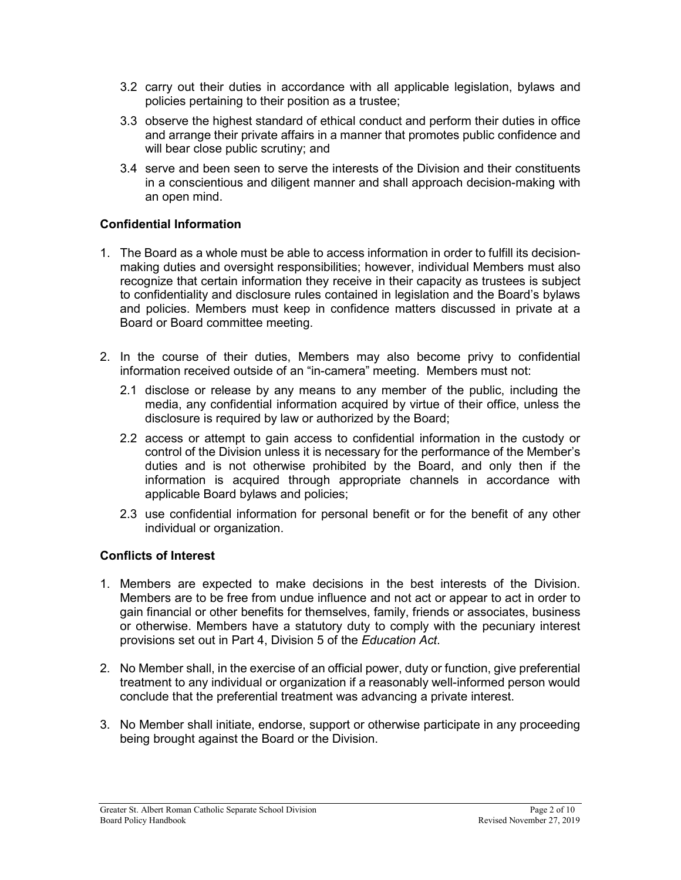- 3.2 carry out their duties in accordance with all applicable legislation, bylaws and policies pertaining to their position as a trustee;
- 3.3 observe the highest standard of ethical conduct and perform their duties in office and arrange their private affairs in a manner that promotes public confidence and will bear close public scrutiny; and
- 3.4 serve and been seen to serve the interests of the Division and their constituents in a conscientious and diligent manner and shall approach decision-making with an open mind.

#### **Confidential Information**

- 1. The Board as a whole must be able to access information in order to fulfill its decisionmaking duties and oversight responsibilities; however, individual Members must also recognize that certain information they receive in their capacity as trustees is subject to confidentiality and disclosure rules contained in legislation and the Board's bylaws and policies. Members must keep in confidence matters discussed in private at a Board or Board committee meeting.
- 2. In the course of their duties, Members may also become privy to confidential information received outside of an "in-camera" meeting. Members must not:
	- 2.1 disclose or release by any means to any member of the public, including the media, any confidential information acquired by virtue of their office, unless the disclosure is required by law or authorized by the Board;
	- 2.2 access or attempt to gain access to confidential information in the custody or control of the Division unless it is necessary for the performance of the Member's duties and is not otherwise prohibited by the Board, and only then if the information is acquired through appropriate channels in accordance with applicable Board bylaws and policies;
	- 2.3 use confidential information for personal benefit or for the benefit of any other individual or organization.

## **Conflicts of Interest**

- 1. Members are expected to make decisions in the best interests of the Division. Members are to be free from undue influence and not act or appear to act in order to gain financial or other benefits for themselves, family, friends or associates, business or otherwise. Members have a statutory duty to comply with the pecuniary interest provisions set out in Part 4, Division 5 of the *Education Act*.
- 2. No Member shall, in the exercise of an official power, duty or function, give preferential treatment to any individual or organization if a reasonably well-informed person would conclude that the preferential treatment was advancing a private interest.
- 3. No Member shall initiate, endorse, support or otherwise participate in any proceeding being brought against the Board or the Division.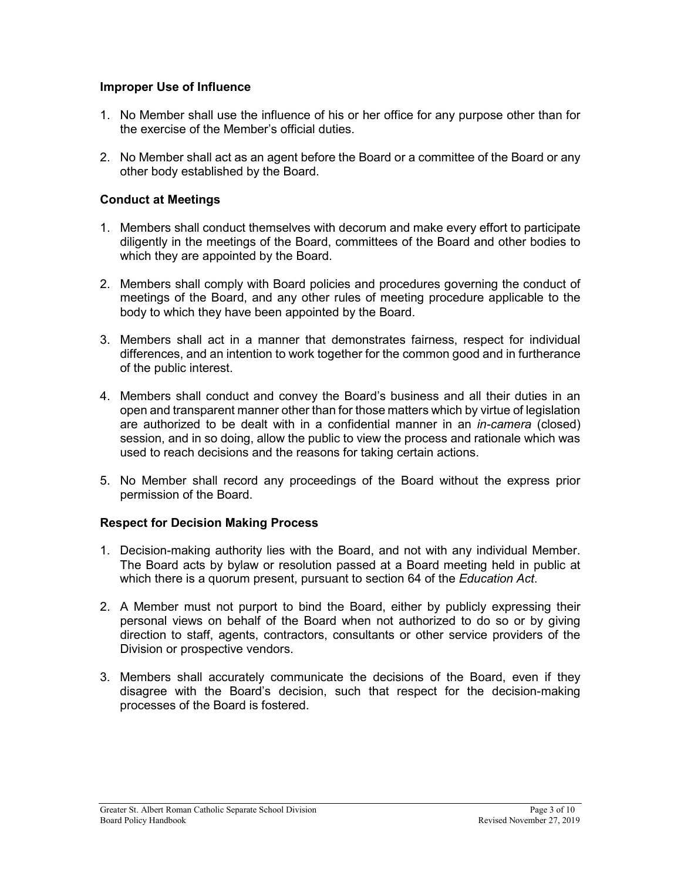#### **Improper Use of Influence**

- 1. No Member shall use the influence of his or her office for any purpose other than for the exercise of the Member's official duties.
- 2. No Member shall act as an agent before the Board or a committee of the Board or any other body established by the Board.

#### **Conduct at Meetings**

- 1. Members shall conduct themselves with decorum and make every effort to participate diligently in the meetings of the Board, committees of the Board and other bodies to which they are appointed by the Board.
- 2. Members shall comply with Board policies and procedures governing the conduct of meetings of the Board, and any other rules of meeting procedure applicable to the body to which they have been appointed by the Board.
- 3. Members shall act in a manner that demonstrates fairness, respect for individual differences, and an intention to work together for the common good and in furtherance of the public interest.
- 4. Members shall conduct and convey the Board's business and all their duties in an open and transparent manner other than for those matters which by virtue of legislation are authorized to be dealt with in a confidential manner in an *in-camera* (closed) session, and in so doing, allow the public to view the process and rationale which was used to reach decisions and the reasons for taking certain actions.
- 5. No Member shall record any proceedings of the Board without the express prior permission of the Board.

#### **Respect for Decision Making Process**

- 1. Decision-making authority lies with the Board, and not with any individual Member. The Board acts by bylaw or resolution passed at a Board meeting held in public at which there is a quorum present, pursuant to section 64 of the *Education Act*.
- 2. A Member must not purport to bind the Board, either by publicly expressing their personal views on behalf of the Board when not authorized to do so or by giving direction to staff, agents, contractors, consultants or other service providers of the Division or prospective vendors.
- 3. Members shall accurately communicate the decisions of the Board, even if they disagree with the Board's decision, such that respect for the decision-making processes of the Board is fostered.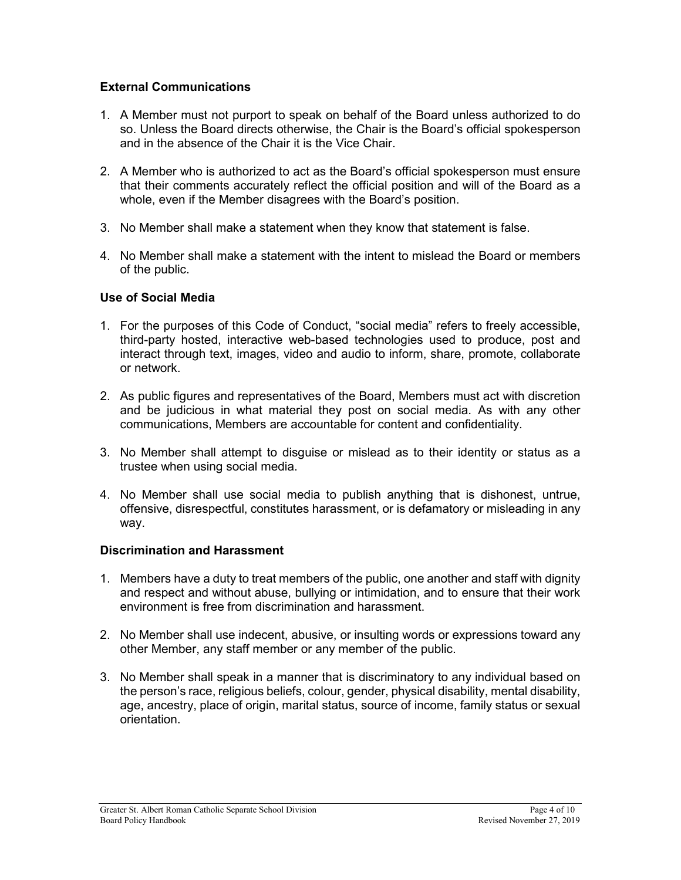#### **External Communications**

- 1. A Member must not purport to speak on behalf of the Board unless authorized to do so. Unless the Board directs otherwise, the Chair is the Board's official spokesperson and in the absence of the Chair it is the Vice Chair.
- 2. A Member who is authorized to act as the Board's official spokesperson must ensure that their comments accurately reflect the official position and will of the Board as a whole, even if the Member disagrees with the Board's position.
- 3. No Member shall make a statement when they know that statement is false.
- 4. No Member shall make a statement with the intent to mislead the Board or members of the public.

#### **Use of Social Media**

- 1. For the purposes of this Code of Conduct, "social media" refers to freely accessible, third-party hosted, interactive web-based technologies used to produce, post and interact through text, images, video and audio to inform, share, promote, collaborate or network.
- 2. As public figures and representatives of the Board, Members must act with discretion and be judicious in what material they post on social media. As with any other communications, Members are accountable for content and confidentiality.
- 3. No Member shall attempt to disguise or mislead as to their identity or status as a trustee when using social media.
- 4. No Member shall use social media to publish anything that is dishonest, untrue, offensive, disrespectful, constitutes harassment, or is defamatory or misleading in any way.

#### **Discrimination and Harassment**

- 1. Members have a duty to treat members of the public, one another and staff with dignity and respect and without abuse, bullying or intimidation, and to ensure that their work environment is free from discrimination and harassment.
- 2. No Member shall use indecent, abusive, or insulting words or expressions toward any other Member, any staff member or any member of the public.
- 3. No Member shall speak in a manner that is discriminatory to any individual based on the person's race, religious beliefs, colour, gender, physical disability, mental disability, age, ancestry, place of origin, marital status, source of income, family status or sexual orientation.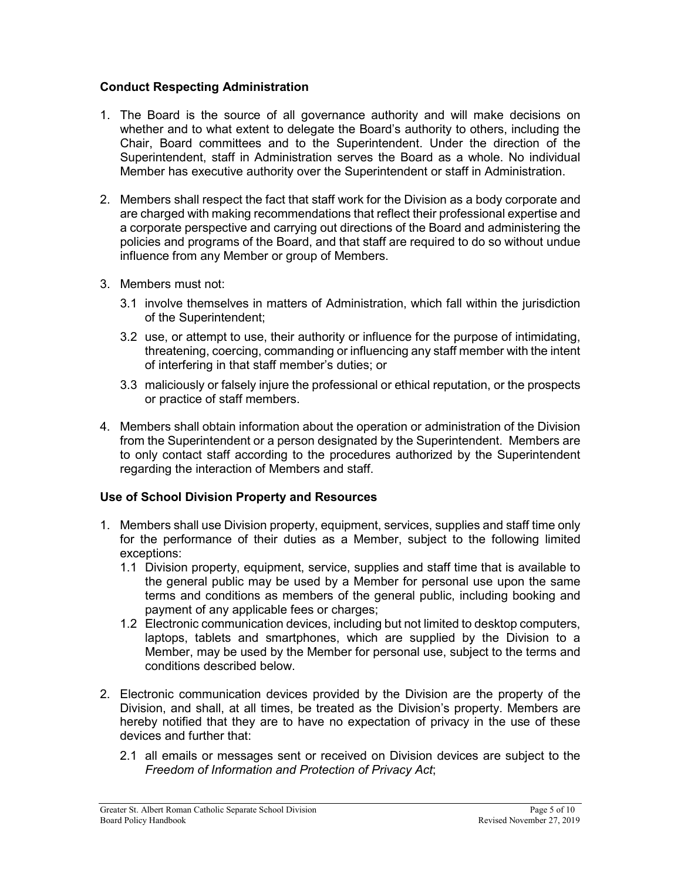#### **Conduct Respecting Administration**

- 1. The Board is the source of all governance authority and will make decisions on whether and to what extent to delegate the Board's authority to others, including the Chair, Board committees and to the Superintendent. Under the direction of the Superintendent, staff in Administration serves the Board as a whole. No individual Member has executive authority over the Superintendent or staff in Administration.
- 2. Members shall respect the fact that staff work for the Division as a body corporate and are charged with making recommendations that reflect their professional expertise and a corporate perspective and carrying out directions of the Board and administering the policies and programs of the Board, and that staff are required to do so without undue influence from any Member or group of Members.
- 3. Members must not:
	- 3.1 involve themselves in matters of Administration, which fall within the jurisdiction of the Superintendent;
	- 3.2 use, or attempt to use, their authority or influence for the purpose of intimidating, threatening, coercing, commanding or influencing any staff member with the intent of interfering in that staff member's duties; or
	- 3.3 maliciously or falsely injure the professional or ethical reputation, or the prospects or practice of staff members.
- 4. Members shall obtain information about the operation or administration of the Division from the Superintendent or a person designated by the Superintendent. Members are to only contact staff according to the procedures authorized by the Superintendent regarding the interaction of Members and staff.

#### **Use of School Division Property and Resources**

- 1. Members shall use Division property, equipment, services, supplies and staff time only for the performance of their duties as a Member, subject to the following limited exceptions:
	- 1.1 Division property, equipment, service, supplies and staff time that is available to the general public may be used by a Member for personal use upon the same terms and conditions as members of the general public, including booking and payment of any applicable fees or charges;
	- 1.2 Electronic communication devices, including but not limited to desktop computers, laptops, tablets and smartphones, which are supplied by the Division to a Member, may be used by the Member for personal use, subject to the terms and conditions described below.
- 2. Electronic communication devices provided by the Division are the property of the Division, and shall, at all times, be treated as the Division's property. Members are hereby notified that they are to have no expectation of privacy in the use of these devices and further that:
	- 2.1 all emails or messages sent or received on Division devices are subject to the *Freedom of Information and Protection of Privacy Act*;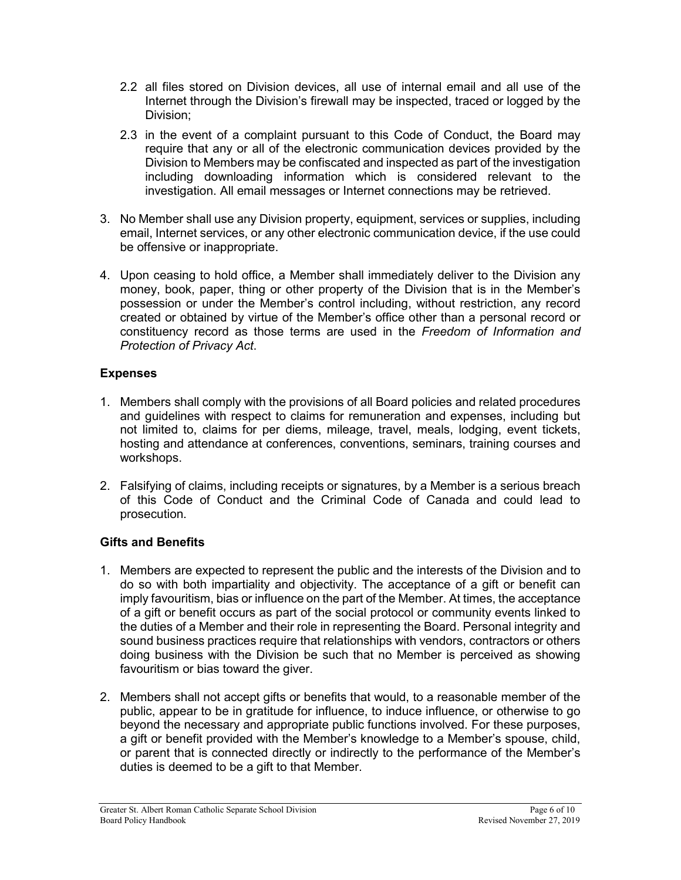- 2.2 all files stored on Division devices, all use of internal email and all use of the Internet through the Division's firewall may be inspected, traced or logged by the Division;
- 2.3 in the event of a complaint pursuant to this Code of Conduct, the Board may require that any or all of the electronic communication devices provided by the Division to Members may be confiscated and inspected as part of the investigation including downloading information which is considered relevant to the investigation. All email messages or Internet connections may be retrieved.
- 3. No Member shall use any Division property, equipment, services or supplies, including email, Internet services, or any other electronic communication device, if the use could be offensive or inappropriate.
- 4. Upon ceasing to hold office, a Member shall immediately deliver to the Division any money, book, paper, thing or other property of the Division that is in the Member's possession or under the Member's control including, without restriction, any record created or obtained by virtue of the Member's office other than a personal record or constituency record as those terms are used in the *Freedom of Information and Protection of Privacy Act*.

#### **Expenses**

- 1. Members shall comply with the provisions of all Board policies and related procedures and guidelines with respect to claims for remuneration and expenses, including but not limited to, claims for per diems, mileage, travel, meals, lodging, event tickets, hosting and attendance at conferences, conventions, seminars, training courses and workshops.
- 2. Falsifying of claims, including receipts or signatures, by a Member is a serious breach of this Code of Conduct and the Criminal Code of Canada and could lead to prosecution.

## **Gifts and Benefits**

- 1. Members are expected to represent the public and the interests of the Division and to do so with both impartiality and objectivity. The acceptance of a gift or benefit can imply favouritism, bias or influence on the part of the Member. At times, the acceptance of a gift or benefit occurs as part of the social protocol or community events linked to the duties of a Member and their role in representing the Board. Personal integrity and sound business practices require that relationships with vendors, contractors or others doing business with the Division be such that no Member is perceived as showing favouritism or bias toward the giver.
- 2. Members shall not accept gifts or benefits that would, to a reasonable member of the public, appear to be in gratitude for influence, to induce influence, or otherwise to go beyond the necessary and appropriate public functions involved. For these purposes, a gift or benefit provided with the Member's knowledge to a Member's spouse, child, or parent that is connected directly or indirectly to the performance of the Member's duties is deemed to be a gift to that Member.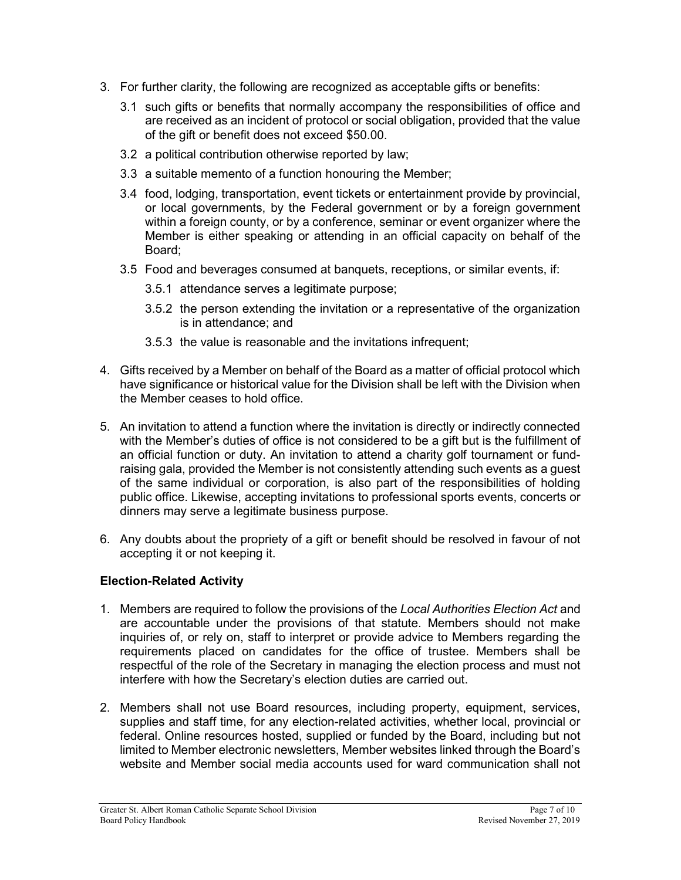- 3. For further clarity, the following are recognized as acceptable gifts or benefits:
	- 3.1 such gifts or benefits that normally accompany the responsibilities of office and are received as an incident of protocol or social obligation, provided that the value of the gift or benefit does not exceed \$50.00.
	- 3.2 a political contribution otherwise reported by law;
	- 3.3 a suitable memento of a function honouring the Member;
	- 3.4 food, lodging, transportation, event tickets or entertainment provide by provincial, or local governments, by the Federal government or by a foreign government within a foreign county, or by a conference, seminar or event organizer where the Member is either speaking or attending in an official capacity on behalf of the Board;
	- 3.5 Food and beverages consumed at banquets, receptions, or similar events, if:
		- 3.5.1 attendance serves a legitimate purpose;
		- 3.5.2 the person extending the invitation or a representative of the organization is in attendance; and
		- 3.5.3 the value is reasonable and the invitations infrequent;
- 4. Gifts received by a Member on behalf of the Board as a matter of official protocol which have significance or historical value for the Division shall be left with the Division when the Member ceases to hold office.
- 5. An invitation to attend a function where the invitation is directly or indirectly connected with the Member's duties of office is not considered to be a gift but is the fulfillment of an official function or duty. An invitation to attend a charity golf tournament or fundraising gala, provided the Member is not consistently attending such events as a guest of the same individual or corporation, is also part of the responsibilities of holding public office. Likewise, accepting invitations to professional sports events, concerts or dinners may serve a legitimate business purpose.
- 6. Any doubts about the propriety of a gift or benefit should be resolved in favour of not accepting it or not keeping it.

#### **Election-Related Activity**

- 1. Members are required to follow the provisions of the *Local Authorities Election Act* and are accountable under the provisions of that statute. Members should not make inquiries of, or rely on, staff to interpret or provide advice to Members regarding the requirements placed on candidates for the office of trustee. Members shall be respectful of the role of the Secretary in managing the election process and must not interfere with how the Secretary's election duties are carried out.
- 2. Members shall not use Board resources, including property, equipment, services, supplies and staff time, for any election-related activities, whether local, provincial or federal. Online resources hosted, supplied or funded by the Board, including but not limited to Member electronic newsletters, Member websites linked through the Board's website and Member social media accounts used for ward communication shall not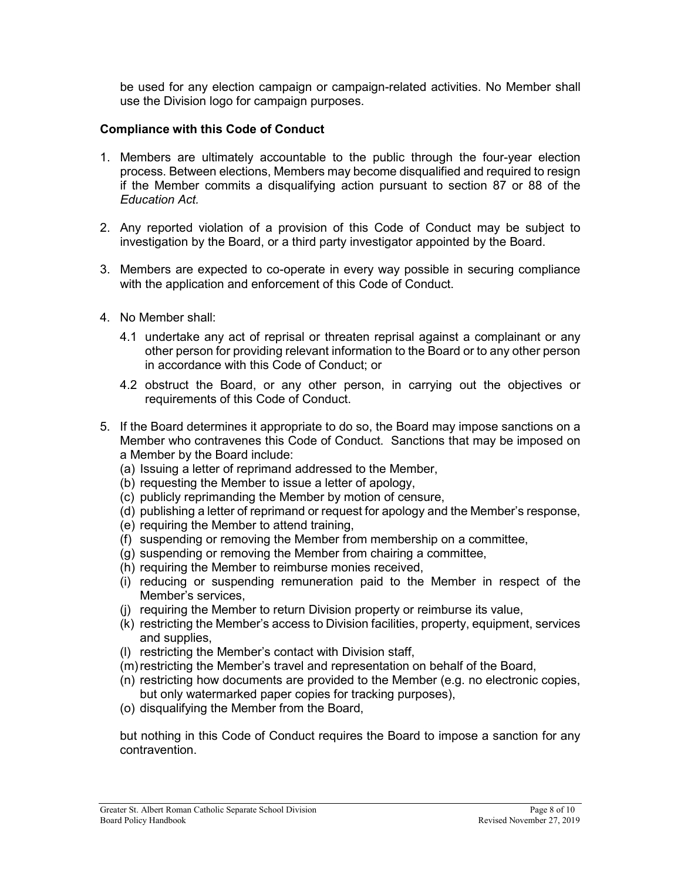be used for any election campaign or campaign-related activities. No Member shall use the Division logo for campaign purposes.

#### **Compliance with this Code of Conduct**

- 1. Members are ultimately accountable to the public through the four-year election process. Between elections, Members may become disqualified and required to resign if the Member commits a disqualifying action pursuant to section 87 or 88 of the *Education Act.*
- 2. Any reported violation of a provision of this Code of Conduct may be subject to investigation by the Board, or a third party investigator appointed by the Board.
- 3. Members are expected to co-operate in every way possible in securing compliance with the application and enforcement of this Code of Conduct.
- 4. No Member shall:
	- 4.1 undertake any act of reprisal or threaten reprisal against a complainant or any other person for providing relevant information to the Board or to any other person in accordance with this Code of Conduct; or
	- 4.2 obstruct the Board, or any other person, in carrying out the objectives or requirements of this Code of Conduct.
- 5. If the Board determines it appropriate to do so, the Board may impose sanctions on a Member who contravenes this Code of Conduct. Sanctions that may be imposed on a Member by the Board include:
	- (a) Issuing a letter of reprimand addressed to the Member,
	- (b) requesting the Member to issue a letter of apology,
	- (c) publicly reprimanding the Member by motion of censure,
	- (d) publishing a letter of reprimand or request for apology and the Member's response,
	- (e) requiring the Member to attend training,
	- (f) suspending or removing the Member from membership on a committee,
	- (g) suspending or removing the Member from chairing a committee,
	- (h) requiring the Member to reimburse monies received,
	- (i) reducing or suspending remuneration paid to the Member in respect of the Member's services,
	- (j) requiring the Member to return Division property or reimburse its value,
	- (k) restricting the Member's access to Division facilities, property, equipment, services and supplies,
	- (l) restricting the Member's contact with Division staff,
	- (m) restricting the Member's travel and representation on behalf of the Board,
	- (n) restricting how documents are provided to the Member (e.g. no electronic copies, but only watermarked paper copies for tracking purposes),
	- (o) disqualifying the Member from the Board,

but nothing in this Code of Conduct requires the Board to impose a sanction for any contravention.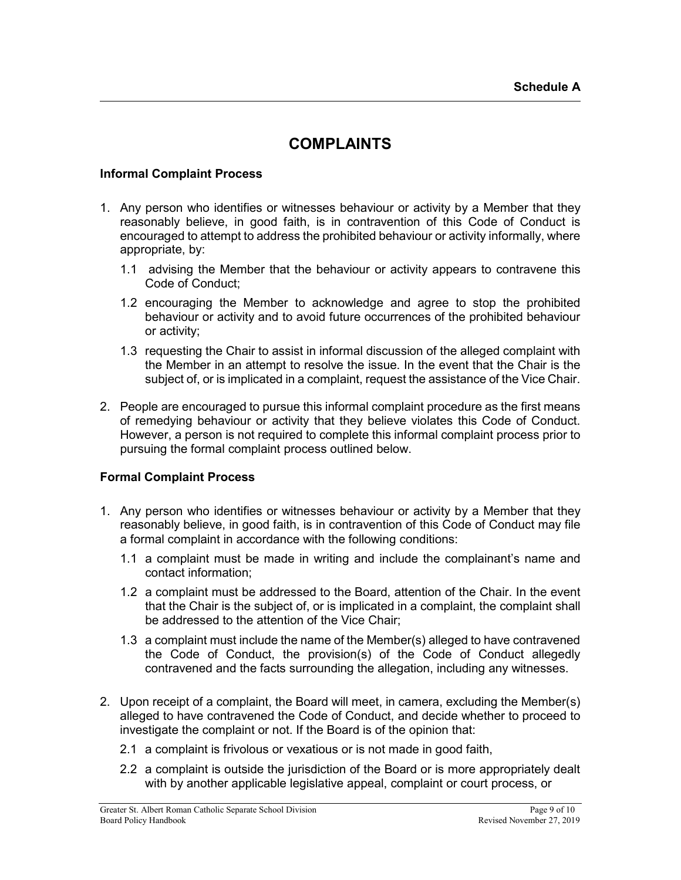# **COMPLAINTS**

#### **Informal Complaint Process**

- 1. Any person who identifies or witnesses behaviour or activity by a Member that they reasonably believe, in good faith, is in contravention of this Code of Conduct is encouraged to attempt to address the prohibited behaviour or activity informally, where appropriate, by:
	- 1.1 advising the Member that the behaviour or activity appears to contravene this Code of Conduct;
	- 1.2 encouraging the Member to acknowledge and agree to stop the prohibited behaviour or activity and to avoid future occurrences of the prohibited behaviour or activity;
	- 1.3 requesting the Chair to assist in informal discussion of the alleged complaint with the Member in an attempt to resolve the issue. In the event that the Chair is the subject of, or is implicated in a complaint, request the assistance of the Vice Chair.
- 2. People are encouraged to pursue this informal complaint procedure as the first means of remedying behaviour or activity that they believe violates this Code of Conduct. However, a person is not required to complete this informal complaint process prior to pursuing the formal complaint process outlined below.

#### **Formal Complaint Process**

- 1. Any person who identifies or witnesses behaviour or activity by a Member that they reasonably believe, in good faith, is in contravention of this Code of Conduct may file a formal complaint in accordance with the following conditions:
	- 1.1 a complaint must be made in writing and include the complainant's name and contact information;
	- 1.2 a complaint must be addressed to the Board, attention of the Chair. In the event that the Chair is the subject of, or is implicated in a complaint, the complaint shall be addressed to the attention of the Vice Chair;
	- 1.3 a complaint must include the name of the Member(s) alleged to have contravened the Code of Conduct, the provision(s) of the Code of Conduct allegedly contravened and the facts surrounding the allegation, including any witnesses.
- 2. Upon receipt of a complaint, the Board will meet, in camera, excluding the Member(s) alleged to have contravened the Code of Conduct, and decide whether to proceed to investigate the complaint or not. If the Board is of the opinion that:
	- 2.1 a complaint is frivolous or vexatious or is not made in good faith,
	- 2.2 a complaint is outside the jurisdiction of the Board or is more appropriately dealt with by another applicable legislative appeal, complaint or court process, or